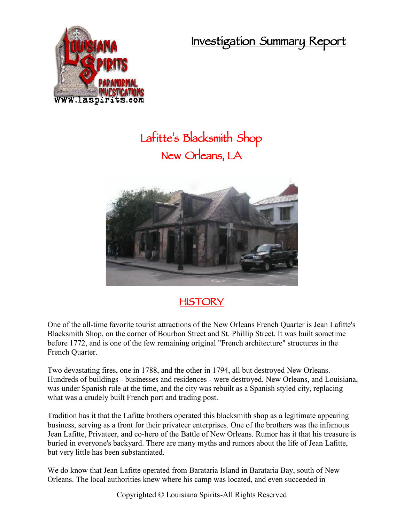**Investigation Summary Report**



## **Lafitte's Blacksmith Shop New Orleans, LA**



## **HISTORY**

One of the all-time favorite tourist attractions of the New Orleans French Quarter is Jean Lafitte's Blacksmith Shop, on the corner of Bourbon Street and St. Phillip Street. It was built sometime before 1772, and is one of the few remaining original "French architecture" structures in the French Quarter.

Two devastating fires, one in 1788, and the other in 1794, all but destroyed New Orleans. Hundreds of buildings - businesses and residences - were destroyed. New Orleans, and Louisiana, was under Spanish rule at the time, and the city was rebuilt as a Spanish styled city, replacing what was a crudely built French port and trading post.

Tradition has it that the Lafitte brothers operated this blacksmith shop as a legitimate appearing business, serving as a front for their privateer enterprises. One of the brothers was the infamous Jean Lafitte, Privateer, and co-hero of the Battle of New Orleans. Rumor has it that his treasure is buried in everyone's backyard. There are many myths and rumors about the life of Jean Lafitte, but very little has been substantiated.

We do know that Jean Lafitte operated from Barataria Island in Barataria Bay, south of New Orleans. The local authorities knew where his camp was located, and even succeeded in

Copyrighted © Louisiana Spirits-All Rights Reserved